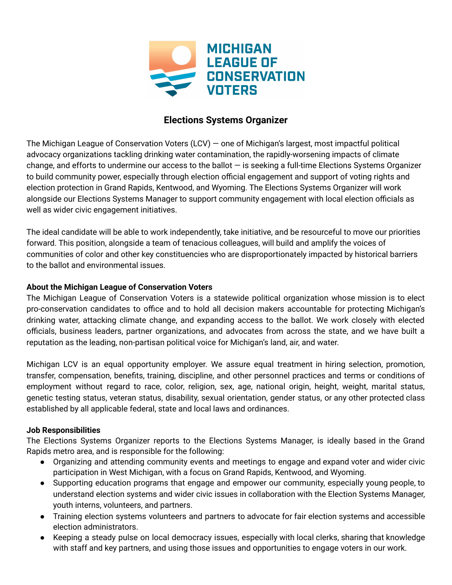

# **Elections Systems Organizer**

The Michigan League of Conservation Voters (LCV) — one of Michigan's largest, most impactful political advocacy organizations tackling drinking water contamination, the rapidly-worsening impacts of climate change, and efforts to undermine our access to the ballot  $-$  is seeking a full-time Elections Systems Organizer to build community power, especially through election official engagement and support of voting rights and election protection in Grand Rapids, Kentwood, and Wyoming. The Elections Systems Organizer will work alongside our Elections Systems Manager to support community engagement with local election officials as well as wider civic engagement initiatives.

The ideal candidate will be able to work independently, take initiative, and be resourceful to move our priorities forward. This position, alongside a team of tenacious colleagues, will build and amplify the voices of communities of color and other key constituencies who are disproportionately impacted by historical barriers to the ballot and environmental issues.

# **About the Michigan League of Conservation Voters**

The Michigan League of Conservation Voters is a statewide political organization whose mission is to elect pro-conservation candidates to office and to hold all decision makers accountable for protecting Michigan's drinking water, attacking climate change, and expanding access to the ballot. We work closely with elected officials, business leaders, partner organizations, and advocates from across the state, and we have built a reputation as the leading, non-partisan political voice for Michigan's land, air, and water.

Michigan LCV is an equal opportunity employer. We assure equal treatment in hiring selection, promotion, transfer, compensation, benefits, training, discipline, and other personnel practices and terms or conditions of employment without regard to race, color, religion, sex, age, national origin, height, weight, marital status, genetic testing status, veteran status, disability, sexual orientation, gender status, or any other protected class established by all applicable federal, state and local laws and ordinances.

### **Job Responsibilities**

The Elections Systems Organizer reports to the Elections Systems Manager, is ideally based in the Grand Rapids metro area, and is responsible for the following:

- Organizing and attending community events and meetings to engage and expand voter and wider civic participation in West Michigan, with a focus on Grand Rapids, Kentwood, and Wyoming.
- Supporting education programs that engage and empower our community, especially young people, to understand election systems and wider civic issues in collaboration with the Election Systems Manager, youth interns, volunteers, and partners.
- Training election systems volunteers and partners to advocate for fair election systems and accessible election administrators.
- Keeping a steady pulse on local democracy issues, especially with local clerks, sharing that knowledge with staff and key partners, and using those issues and opportunities to engage voters in our work.